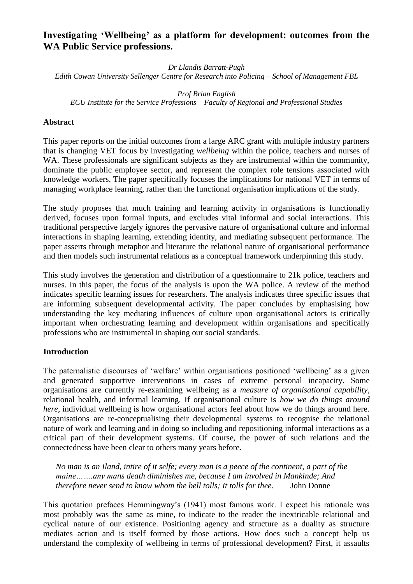# **Investigating 'Wellbeing' as a platform for development: outcomes from the WA Public Service professions.**

*Dr Llandis Barratt-Pugh*

*Edith Cowan University Sellenger Centre for Research into Policing – School of Management FBL*

*Prof Brian English ECU Institute for the Service Professions – Faculty of Regional and Professional Studies*

### **Abstract**

This paper reports on the initial outcomes from a large ARC grant with multiple industry partners that is changing VET focus by investigating *wellbeing* within the police, teachers and nurses of WA. These professionals are significant subjects as they are instrumental within the community, dominate the public employee sector, and represent the complex role tensions associated with knowledge workers. The paper specifically focuses the implications for national VET in terms of managing workplace learning, rather than the functional organisation implications of the study.

The study proposes that much training and learning activity in organisations is functionally derived, focuses upon formal inputs, and excludes vital informal and social interactions. This traditional perspective largely ignores the pervasive nature of organisational culture and informal interactions in shaping learning, extending identity, and mediating subsequent performance. The paper asserts through metaphor and literature the relational nature of organisational performance and then models such instrumental relations as a conceptual framework underpinning this study.

This study involves the generation and distribution of a questionnaire to 21k police, teachers and nurses. In this paper, the focus of the analysis is upon the WA police. A review of the method indicates specific learning issues for researchers. The analysis indicates three specific issues that are informing subsequent developmental activity. The paper concludes by emphasising how understanding the key mediating influences of culture upon organisational actors is critically important when orchestrating learning and development within organisations and specifically professions who are instrumental in shaping our social standards.

# **Introduction**

The paternalistic discourses of 'welfare' within organisations positioned 'wellbeing' as a given and generated supportive interventions in cases of extreme personal incapacity. Some organisations are currently re-examining wellbeing as a *measure of organisational capability*, relational health, and informal learning. If organisational culture is *how we do things around here*, individual wellbeing is how organisational actors feel about how we do things around here. Organisations are re-conceptualising their developmental systems to recognise the relational nature of work and learning and in doing so including and repositioning informal interactions as a critical part of their development systems. Of course, the power of such relations and the connectedness have been clear to others many years before.

*No man is an Iland, intire of it selfe; every man is a peece of the continent, a part of the maine…….any mans death diminishes me, because I am involved in Mankinde; And therefore never send to know whom the bell tolls; It tolls for thee.* John Donne

This quotation prefaces Hemmingway's (1941) most famous work. I expect his rationale was most probably was the same as mine, to indicate to the reader the inextricable relational and cyclical nature of our existence. Positioning agency and structure as a duality as structure mediates action and is itself formed by those actions. How does such a concept help us understand the complexity of wellbeing in terms of professional development? First, it assaults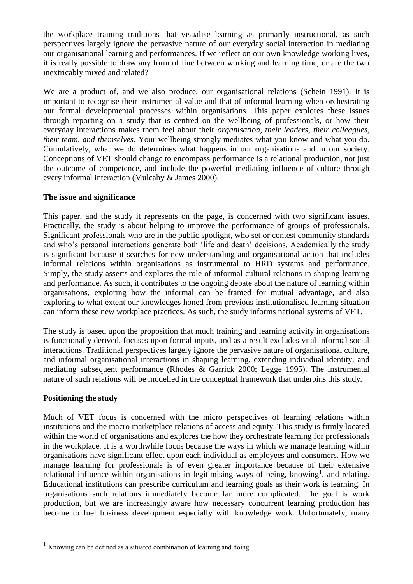the workplace training traditions that visualise learning as primarily instructional, as such perspectives largely ignore the pervasive nature of our everyday social interaction in mediating our organisational learning and performances. If we reflect on our own knowledge working lives, it is really possible to draw any form of line between working and learning time, or are the two inextricably mixed and related?

We are a product of, and we also produce, our organisational relations (Schein 1991). It is important to recognise their instrumental value and that of informal learning when orchestrating our formal developmental processes within organisations. This paper explores these issues through reporting on a study that is centred on the wellbeing of professionals, or how their everyday interactions makes them feel about their *organisation, their leaders, their colleagues, their team, and themselves*. Your wellbeing strongly mediates what you know and what you do. Cumulatively, what we do determines what happens in our organisations and in our society. Conceptions of VET should change to encompass performance is a relational production, not just the outcome of competence, and include the powerful mediating influence of culture through every informal interaction (Mulcahy & James 2000).

### **The issue and significance**

This paper, and the study it represents on the page, is concerned with two significant issues. Practically, the study is about helping to improve the performance of groups of professionals. Significant professionals who are in the public spotlight, who set or contest community standards and who's personal interactions generate both 'life and death' decisions. Academically the study is significant because it searches for new understanding and organisational action that includes informal relations within organisations as instrumental to HRD systems and performance. Simply, the study asserts and explores the role of informal cultural relations in shaping learning and performance. As such, it contributes to the ongoing debate about the nature of learning within organisations, exploring how the informal can be framed for mutual advantage, and also exploring to what extent our knowledges honed from previous institutionalised learning situation can inform these new workplace practices. As such, the study informs national systems of VET.

The study is based upon the proposition that much training and learning activity in organisations is functionally derived, focuses upon formal inputs, and as a result excludes vital informal social interactions. Traditional perspectives largely ignore the pervasive nature of organisational culture, and informal organisational interactions in shaping learning, extending individual identity, and mediating subsequent performance (Rhodes & Garrick 2000; Legge 1995). The instrumental nature of such relations will be modelled in the conceptual framework that underpins this study.

#### **Positioning the study**

 $\overline{a}$ 

Much of VET focus is concerned with the micro perspectives of learning relations within institutions and the macro marketplace relations of access and equity. This study is firmly located within the world of organisations and explores the how they orchestrate learning for professionals in the workplace. It is a worthwhile focus because the ways in which we manage learning within organisations have significant effect upon each individual as employees and consumers. How we manage learning for professionals is of even greater importance because of their extensive relational influence within organisations in legitimising ways of being, knowing<sup>1</sup>, and relating. Educational institutions can prescribe curriculum and learning goals as their work is learning. In organisations such relations immediately become far more complicated. The goal is work production, but we are increasingly aware how necessary concurrent learning production has become to fuel business development especially with knowledge work. Unfortunately, many

<sup>&</sup>lt;sup>1</sup> Knowing can be defined as a situated combination of learning and doing.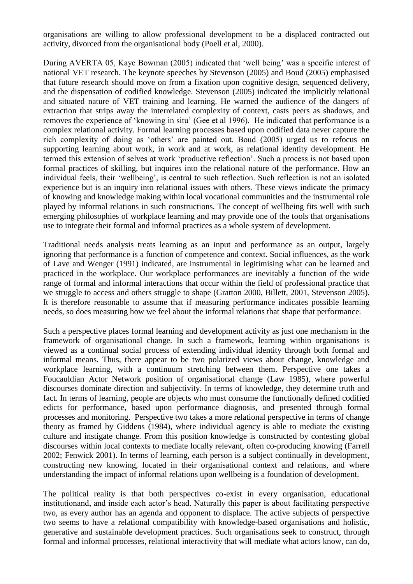organisations are willing to allow professional development to be a displaced contracted out activity, divorced from the organisational body (Poell et al, 2000).

During AVERTA 05, Kaye Bowman (2005) indicated that 'well being' was a specific interest of national VET research. The keynote speeches by Stevenson (2005) and Boud (2005) emphasised that future research should move on from a fixation upon cognitive design, sequenced delivery, and the dispensation of codified knowledge. Stevenson (2005) indicated the implicitly relational and situated nature of VET training and learning. He warned the audience of the dangers of extraction that strips away the interrelated complexity of context, casts peers as shadows, and removes the experience of 'knowing in situ' (Gee et al 1996). He indicated that performance is a complex relational activity. Formal learning processes based upon codified data never capture the rich complexity of doing as 'others' are painted out. Boud (2005) urged us to refocus on supporting learning about work, in work and at work, as relational identity development. He termed this extension of selves at work 'productive reflection'. Such a process is not based upon formal practices of skilling, but inquires into the relational nature of the performance. How an individual feels, their 'wellbeing', is central to such reflection. Such reflection is not an isolated experience but is an inquiry into relational issues with others. These views indicate the primacy of knowing and knowledge making within local vocational communities and the instrumental role played by informal relations in such constructions. The concept of wellbeing fits well with such emerging philosophies of workplace learning and may provide one of the tools that organisations use to integrate their formal and informal practices as a whole system of development.

Traditional needs analysis treats learning as an input and performance as an output, largely ignoring that performance is a function of competence and context. Social influences, as the work of Lave and Wenger (1991) indicated, are instrumental in legitimising what can be learned and practiced in the workplace. Our workplace performances are inevitably a function of the wide range of formal and informal interactions that occur within the field of professional practice that we struggle to access and others struggle to shape (Gratton 2000, Billett, 2001, Stevenson 2005). It is therefore reasonable to assume that if measuring performance indicates possible learning needs, so does measuring how we feel about the informal relations that shape that performance.

Such a perspective places formal learning and development activity as just one mechanism in the framework of organisational change. In such a framework, learning within organisations is viewed as a continual social process of extending individual identity through both formal and informal means. Thus, there appear to be two polarized views about change, knowledge and workplace learning, with a continuum stretching between them. Perspective one takes a Foucauldian Actor Network position of organisational change (Law 1985), where powerful discourses dominate direction and subjectivity. In terms of knowledge, they determine truth and fact. In terms of learning, people are objects who must consume the functionally defined codified edicts for performance, based upon performance diagnosis, and presented through formal processes and monitoring. Perspective two takes a more relational perspective in terms of change theory as framed by Giddens (1984), where individual agency is able to mediate the existing culture and instigate change. From this position knowledge is constructed by contesting global discourses within local contexts to mediate locally relevant, often co-producing knowing (Farrell 2002; Fenwick 2001). In terms of learning, each person is a subject continually in development, constructing new knowing, located in their organisational context and relations, and where understanding the impact of informal relations upon wellbeing is a foundation of development.

The political reality is that both perspectives co-exist in every organisation, educational institutionand, and inside each actor's head. Naturally this paper is about facilitating perspective two, as every author has an agenda and opponent to displace. The active subjects of perspective two seems to have a relational compatibility with knowledge-based organisations and holistic, generative and sustainable development practices. Such organisations seek to construct, through formal and informal processes, relational interactivity that will mediate what actors know, can do,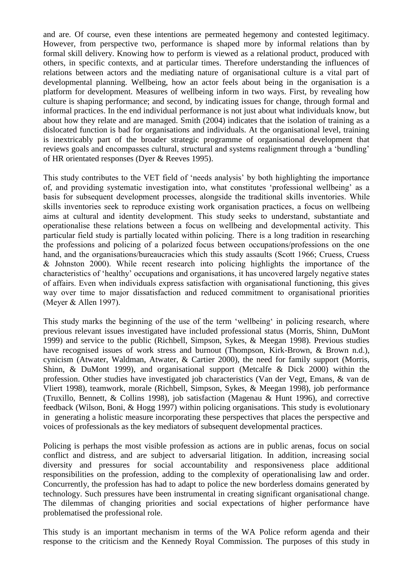and are. Of course, even these intentions are permeated hegemony and contested legitimacy. However, from perspective two, performance is shaped more by informal relations than by formal skill delivery. Knowing how to perform is viewed as a relational product, produced with others, in specific contexts, and at particular times. Therefore understanding the influences of relations between actors and the mediating nature of organisational culture is a vital part of developmental planning. Wellbeing, how an actor feels about being in the organisation is a platform for development. Measures of wellbeing inform in two ways. First, by revealing how culture is shaping performance; and second, by indicating issues for change, through formal and informal practices. In the end individual performance is not just about what individuals know, but about how they relate and are managed. Smith (2004) indicates that the isolation of training as a dislocated function is bad for organisations and individuals. At the organisational level, training is inextricably part of the broader strategic programme of organisational development that reviews goals and encompasses cultural, structural and systems realignment through a 'bundling' of HR orientated responses (Dyer & Reeves 1995).

This study contributes to the VET field of 'needs analysis' by both highlighting the importance of, and providing systematic investigation into, what constitutes 'professional wellbeing' as a basis for subsequent development processes, alongside the traditional skills inventories. While skills inventories seek to reproduce existing work organisation practices, a focus on wellbeing aims at cultural and identity development. This study seeks to understand, substantiate and operationalise these relations between a focus on wellbeing and developmental activity. This particular field study is partially located within policing. There is a long tradition in researching the professions and policing of a polarized focus between occupations/professions on the one hand, and the organisations/bureaucracies which this study assaults (Scott 1966; Cruess, Cruess & Johnston 2000). While recent research into policing highlights the importance of the characteristics of 'healthy' occupations and organisations, it has uncovered largely negative states of affairs. Even when individuals express satisfaction with organisational functioning, this gives way over time to major dissatisfaction and reduced commitment to organisational priorities (Meyer & Allen 1997).

This study marks the beginning of the use of the term 'wellbeing' in policing research, where previous relevant issues investigated have included professional status (Morris, Shinn, DuMont 1999) and service to the public (Richbell, Simpson, Sykes, & Meegan 1998). Previous studies have recognised issues of work stress and burnout (Thompson, Kirk-Brown, & Brown n.d.), cynicism (Atwater, Waldman, Atwater, & Cartier 2000), the need for family support (Morris, Shinn, & DuMont 1999), and organisational support (Metcalfe & Dick 2000) within the profession. Other studies have investigated job characteristics (Van der Vegt, Emans, & van de Vliert 1998), teamwork, morale (Richbell, Simpson, Sykes, & Meegan 1998), job performance (Truxillo, Bennett, & Collins 1998), job satisfaction (Magenau & Hunt 1996), and corrective feedback (Wilson, Boni, & Hogg 1997) within policing organisations. This study is evolutionary in generating a holistic measure incorporating these perspectives that places the perspective and voices of professionals as the key mediators of subsequent developmental practices.

Policing is perhaps the most visible profession as actions are in public arenas, focus on social conflict and distress, and are subject to adversarial litigation. In addition, increasing social diversity and pressures for social accountability and responsiveness place additional responsibilities on the profession, adding to the complexity of operationalising law and order. Concurrently, the profession has had to adapt to police the new borderless domains generated by technology. Such pressures have been instrumental in creating significant organisational change. The dilemmas of changing priorities and social expectations of higher performance have problematised the professional role.

This study is an important mechanism in terms of the WA Police reform agenda and their response to the criticism and the Kennedy Royal Commission. The purposes of this study in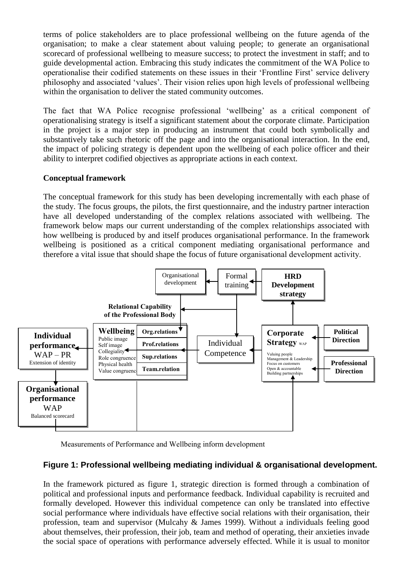terms of police stakeholders are to place professional wellbeing on the future agenda of the organisation; to make a clear statement about valuing people; to generate an organisational scorecard of professional wellbeing to measure success; to protect the investment in staff; and to guide developmental action. Embracing this study indicates the commitment of the WA Police to operationalise their codified statements on these issues in their 'Frontline First' service delivery philosophy and associated 'values'. Their vision relies upon high levels of professional wellbeing within the organisation to deliver the stated community outcomes.

The fact that WA Police recognise professional 'wellbeing' as a critical component of operationalising strategy is itself a significant statement about the corporate climate. Participation in the project is a major step in producing an instrument that could both symbolically and substantively take such rhetoric off the page and into the organisational interaction. In the end, the impact of policing strategy is dependent upon the wellbeing of each police officer and their ability to interpret codified objectives as appropriate actions in each context.

# **Conceptual framework**

The conceptual framework for this study has been developing incrementally with each phase of the study. The focus groups, the pilots, the first questionnaire, and the industry partner interaction have all developed understanding of the complex relations associated with wellbeing. The framework below maps our current understanding of the complex relationships associated with how wellbeing is produced by and itself produces organisational performance. In the framework wellbeing is positioned as a critical component mediating organisational performance and therefore a vital issue that should shape the focus of future organisational development activity.



Measurements of Performance and Wellbeing inform development

# **Figure 1: Professional wellbeing mediating individual & organisational development.**

In the framework pictured as figure 1, strategic direction is formed through a combination of political and professional inputs and performance feedback. Individual capability is recruited and formally developed. However this individual competence can only be translated into effective social performance where individuals have effective social relations with their organisation, their profession, team and supervisor (Mulcahy & James 1999). Without a individuals feeling good about themselves, their profession, their job, team and method of operating, their anxieties invade the social space of operations with performance adversely effected. While it is usual to monitor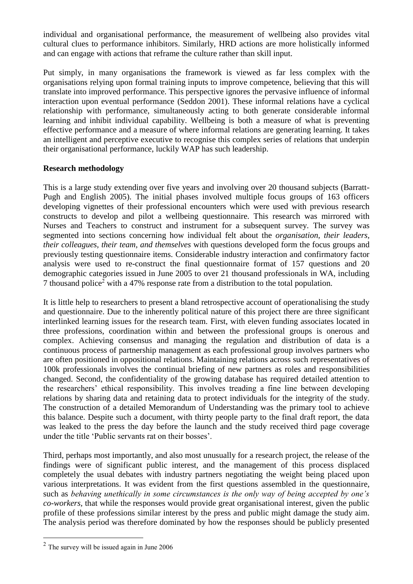individual and organisational performance, the measurement of wellbeing also provides vital cultural clues to performance inhibitors. Similarly, HRD actions are more holistically informed and can engage with actions that reframe the culture rather than skill input.

Put simply, in many organisations the framework is viewed as far less complex with the organisations relying upon formal training inputs to improve competence, believing that this will translate into improved performance. This perspective ignores the pervasive influence of informal interaction upon eventual performance (Seddon 2001). These informal relations have a cyclical relationship with performance, simultaneously acting to both generate considerable informal learning and inhibit individual capability. Wellbeing is both a measure of what is preventing effective performance and a measure of where informal relations are generating learning. It takes an intelligent and perceptive executive to recognise this complex series of relations that underpin their organisational performance, luckily WAP has such leadership.

# **Research methodology**

This is a large study extending over five years and involving over 20 thousand subjects (Barratt-Pugh and English 2005). The initial phases involved multiple focus groups of 163 officers developing vignettes of their professional encounters which were used with previous research constructs to develop and pilot a wellbeing questionnaire. This research was mirrored with Nurses and Teachers to construct and instrument for a subsequent survey. The survey was segmented into sections concerning how individual felt about the *organisation, their leaders, their colleagues, their team, and themselves* with questions developed form the focus groups and previously testing questionnaire items. Considerable industry interaction and confirmatory factor analysis were used to re-construct the final questionnaire format of 157 questions and 20 demographic categories issued in June 2005 to over 21 thousand professionals in WA, including 7 thousand police<sup>2</sup> with a 47% response rate from a distribution to the total population.

It is little help to researchers to present a bland retrospective account of operationalising the study and questionnaire. Due to the inherently political nature of this project there are three significant interlinked learning issues for the research team. First, with eleven funding associates located in three professions, coordination within and between the professional groups is onerous and complex. Achieving consensus and managing the regulation and distribution of data is a continuous process of partnership management as each professional group involves partners who are often positioned in oppositional relations. Maintaining relations across such representatives of 100k professionals involves the continual briefing of new partners as roles and responsibilities changed. Second, the confidentiality of the growing database has required detailed attention to the researchers' ethical responsibility. This involves treading a fine line between developing relations by sharing data and retaining data to protect individuals for the integrity of the study. The construction of a detailed Memorandum of Understanding was the primary tool to achieve this balance. Despite such a document, with thirty people party to the final draft report, the data was leaked to the press the day before the launch and the study received third page coverage under the title 'Public servants rat on their bosses'.

Third, perhaps most importantly, and also most unusually for a research project, the release of the findings were of significant public interest, and the management of this process displaced completely the usual debates with industry partners negotiating the weight being placed upon various interpretations. It was evident from the first questions assembled in the questionnaire, such as *behaving unethically in some circumstances is the only way of being accepted by one's co-workers,* that while the responses would provide great organisational interest, given the public profile of these professions similar interest by the press and public might damage the study aim. The analysis period was therefore dominated by how the responses should be publicly presented

 $\overline{a}$ 

 $2$  The survey will be issued again in June 2006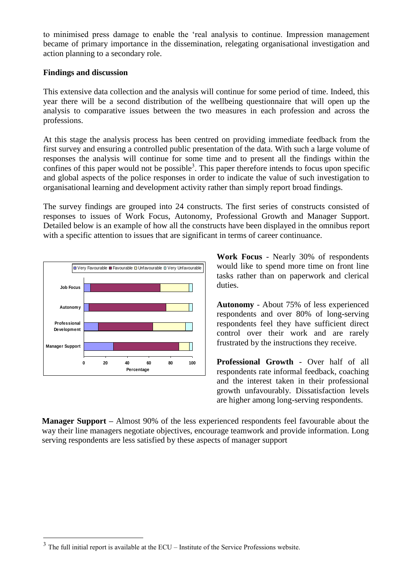to minimised press damage to enable the 'real analysis to continue. Impression management became of primary importance in the dissemination, relegating organisational investigation and action planning to a secondary role.

### **Findings and discussion**

This extensive data collection and the analysis will continue for some period of time. Indeed, this year there will be a second distribution of the wellbeing questionnaire that will open up the analysis to comparative issues between the two measures in each profession and across the professions.

At this stage the analysis process has been centred on providing immediate feedback from the first survey and ensuring a controlled public presentation of the data. With such a large volume of responses the analysis will continue for some time and to present all the findings within the confines of this paper would not be possible<sup>3</sup>. This paper therefore intends to focus upon specific and global aspects of the police responses in order to indicate the value of such investigation to organisational learning and development activity rather than simply report broad findings.

The survey findings are grouped into 24 constructs. The first series of constructs consisted of responses to issues of Work Focus, Autonomy, Professional Growth and Manager Support. Detailed below is an example of how all the constructs have been displayed in the omnibus report with a specific attention to issues that are significant in terms of career continuance.



 $\overline{a}$ 

**Work Focus** - Nearly 30% of respondents would like to spend more time on front line tasks rather than on paperwork and clerical duties.

**Autonomy** - About 75% of less experienced respondents and over 80% of long-serving respondents feel they have sufficient direct control over their work and are rarely frustrated by the instructions they receive.

**Professional Growth** - Over half of all respondents rate informal feedback, coaching and the interest taken in their professional growth unfavourably. Dissatisfaction levels are higher among long-serving respondents.

**Manager Support –** Almost 90% of the less experienced respondents feel favourable about the way their line managers negotiate objectives, encourage teamwork and provide information. Long serving respondents are less satisfied by these aspects of manager support

 $3$  The full initial report is available at the ECU – Institute of the Service Professions website.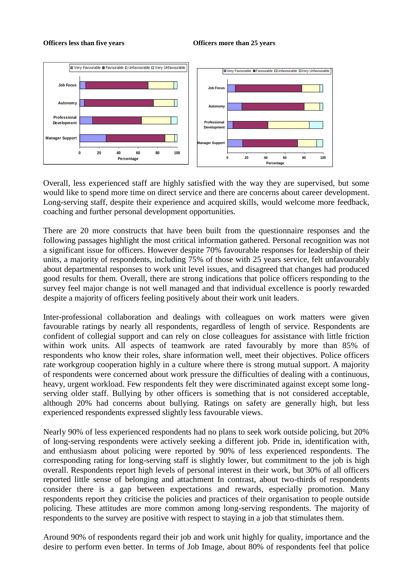#### **Officers less than five years Officers more than 25 years**



Overall, less experienced staff are highly satisfied with the way they are supervised, but some would like to spend more time on direct service and there are concerns about career development. Long-serving staff, despite their experience and acquired skills, would welcome more feedback, coaching and further personal development opportunities.

There are 20 more constructs that have been built from the questionnaire responses and the following passages highlight the most critical information gathered. Personal recognition was not a significant issue for officers. However despite 70% favourable responses for leadership of their units, a majority of respondents, including 75% of those with 25 years service, felt unfavourably about departmental responses to work unit level issues, and disagreed that changes had produced good results for them. Overall, there are strong indications that police officers responding to the survey feel major change is not well managed and that individual excellence is poorly rewarded despite a majority of officers feeling positively about their work unit leaders.

Inter-professional collaboration and dealings with colleagues on work matters were given favourable ratings by nearly all respondents, regardless of length of service. Respondents are confident of collegial support and can rely on close colleagues for assistance with little friction within work units. All aspects of teamwork are rated favourably by more than 85% of respondents who know their roles, share information well, meet their objectives. Police officers rate workgroup cooperation highly in a culture where there is strong mutual support. A majority of respondents were concerned about work pressure the difficulties of dealing with a continuous, heavy, urgent workload. Few respondents felt they were discriminated against except some longserving older staff. Bullying by other officers is something that is not considered acceptable, although 20% had concerns about bullying. Ratings on safety are generally high, but less experienced respondents expressed slightly less favourable views.

Nearly 90% of less experienced respondents had no plans to seek work outside policing, but 20% of long-serving respondents were actively seeking a different job. Pride in, identification with, and enthusiasm about policing were reported by 90% of less experienced respondents. The corresponding rating for long-serving staff is slightly lower, but commitment to the job is high overall. Respondents report high levels of personal interest in their work, but 30% of all officers reported little sense of belonging and attachment In contrast, about two-thirds of respondents consider there is a gap between expectations and rewards, especially promotion. Many respondents report they criticise the policies and practices of their organisation to people outside policing. These attitudes are more common among long-serving respondents. The majority of respondents to the survey are positive with respect to staying in a job that stimulates them.

Around 90% of respondents regard their job and work unit highly for quality, importance and the desire to perform even better. In terms of Job Image, about 80% of respondents feel that police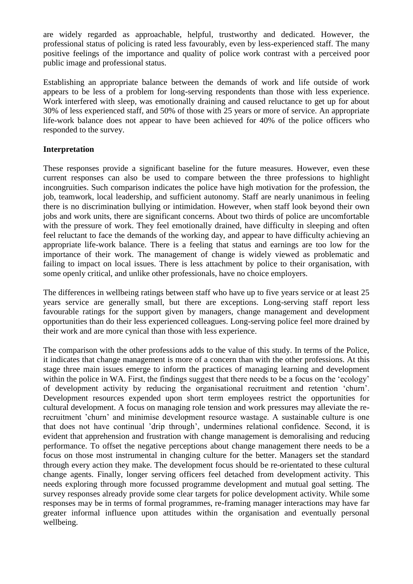are widely regarded as approachable, helpful, trustworthy and dedicated. However, the professional status of policing is rated less favourably, even by less-experienced staff. The many positive feelings of the importance and quality of police work contrast with a perceived poor public image and professional status.

Establishing an appropriate balance between the demands of work and life outside of work appears to be less of a problem for long-serving respondents than those with less experience. Work interfered with sleep, was emotionally draining and caused reluctance to get up for about 30% of less experienced staff, and 50% of those with 25 years or more of service. An appropriate life-work balance does not appear to have been achieved for 40% of the police officers who responded to the survey.

# **Interpretation**

These responses provide a significant baseline for the future measures. However, even these current responses can also be used to compare between the three professions to highlight incongruities. Such comparison indicates the police have high motivation for the profession, the job, teamwork, local leadership, and sufficient autonomy. Staff are nearly unanimous in feeling there is no discrimination bullying or intimidation. However, when staff look beyond their own jobs and work units, there are significant concerns. About two thirds of police are uncomfortable with the pressure of work. They feel emotionally drained, have difficulty in sleeping and often feel reluctant to face the demands of the working day, and appear to have difficulty achieving an appropriate life-work balance. There is a feeling that status and earnings are too low for the importance of their work. The management of change is widely viewed as problematic and failing to impact on local issues. There is less attachment by police to their organisation, with some openly critical, and unlike other professionals, have no choice employers.

The differences in wellbeing ratings between staff who have up to five years service or at least 25 years service are generally small, but there are exceptions. Long-serving staff report less favourable ratings for the support given by managers, change management and development opportunities than do their less experienced colleagues. Long-serving police feel more drained by their work and are more cynical than those with less experience.

The comparison with the other professions adds to the value of this study. In terms of the Police, it indicates that change management is more of a concern than with the other professions. At this stage three main issues emerge to inform the practices of managing learning and development within the police in WA. First, the findings suggest that there needs to be a focus on the 'ecology' of development activity by reducing the organisational recruitment and retention 'churn'. Development resources expended upon short term employees restrict the opportunities for cultural development. A focus on managing role tension and work pressures may alleviate the rerecruitment 'churn' and minimise development resource wastage. A sustainable culture is one that does not have continual 'drip through', undermines relational confidence. Second, it is evident that apprehension and frustration with change management is demoralising and reducing performance. To offset the negative perceptions about change management there needs to be a focus on those most instrumental in changing culture for the better. Managers set the standard through every action they make. The development focus should be re-orientated to these cultural change agents. Finally, longer serving officers feel detached from development activity. This needs exploring through more focussed programme development and mutual goal setting. The survey responses already provide some clear targets for police development activity. While some responses may be in terms of formal programmes, re-framing manager interactions may have far greater informal influence upon attitudes within the organisation and eventually personal wellbeing.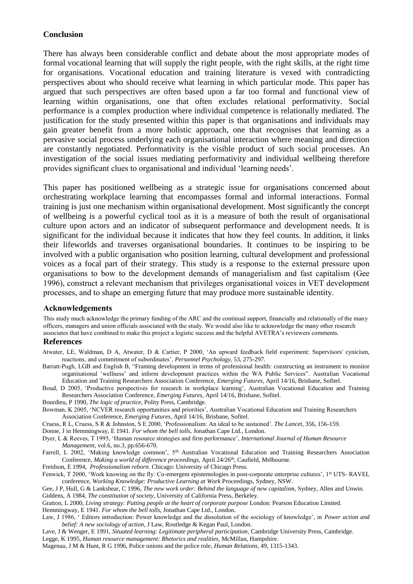#### **Conclusion**

There has always been considerable conflict and debate about the most appropriate modes of formal vocational learning that will supply the right people, with the right skills, at the right time for organisations. Vocational education and training literature is vexed with contradicting perspectives about who should receive what learning in which particular mode. This paper has argued that such perspectives are often based upon a far too formal and functional view of learning within organisations, one that often excludes relational performativity. Social performance is a complex production where individual competence is relationally mediated. The justification for the study presented within this paper is that organisations and individuals may gain greater benefit from a more holistic approach, one that recognises that learning as a pervasive social process underlying each organisational interaction where meaning and direction are constantly negotiated. Performativity is the visible product of such social processes. An investigation of the social issues mediating performativity and individual wellbeing therefore provides significant clues to organisational and individual 'learning needs'.

This paper has positioned wellbeing as a strategic issue for organisations concerned about orchestrating workplace learning that encompasses formal and informal interactions. Formal training is just one mechanism within organisational development. Most significantly the concept of wellbeing is a powerful cyclical tool as it is a measure of both the result of organisational culture upon actors and an indicator of subsequent performance and development needs. It is significant for the individual because it indicates that how they feel counts. In addition, it links their lifeworlds and traverses organisational boundaries. It continues to be inspiring to be involved with a public organisation who position learning, cultural development and professional voices as a focal part of their strategy. This study is a response to the external pressure upon organisations to bow to the development demands of managerialism and fast capitalism (Gee 1996), construct a relevant mechanism that privileges organisational voices in VET development processes, and to shape an emerging future that may produce more sustainable identity.

#### **Acknowledgements**

This study much acknowledge the primary funding of the ARC and the continual support, financially and relationally of the many officers, managers and union officials associated with the study. We would also like to acknowledge the many other research associates that have combined to make this project a logistic success and the helpful AVETRA's reviewers comments.

#### **References**

- Atwater, LE, Waldman, D A, Atwater, D & Cartier, P 2000, 'An upward feedback field experiment: Supervisors' cynicism, reactions, and commitment of subordinates', *Personnel Psychology*, 53, 275-297.
- Barratt-Pugh, LGB and English B, "Framing development in terms of professional health: constructing an instrument to monitor organisational 'wellness' and inform development practices within the WA Public Services". Australian Vocational Education and Training Researchers Association Conference, *Emerging Futures,* April 14/16, Brisbane, Sofitel.
- Boud, D 2005, 'Productive perspectives for research in workplace learning', Australian Vocational Education and Training Researchers Association Conference, *Emerging Futures,* April 14/16, Brisbane, Sofitel.
- Bourdieu, P 1990, *The logic of practice*, Polity Press, Cambridge.
- Bowman, K 2005, 'NCVER research opportunities and priorities', Australian Vocational Education and Training Researchers Association Conference, *Emerging Futures,* April 14/16, Brisbane, Sofitel.
- Cruess, R L, Cruess, S R & Johnston, S E 2000, 'Professionalism: An ideal to be sustained'. *The Lancet*, 356, 156-159.
- Donne, J in Hemmingway, E 1941. *For whom the bell tolls,* Jonathan Cape Ltd., London.
- Dyer, L & Reeves, T 1995, 'Human resource strategies and firm performance', *International Journal of Human Resource Management,* vol.6, no.3, pp.656-670.
- Farrell, L 2002, 'Making knowledge common', 5<sup>th</sup> Australian Vocational Education and Training Researchers Association Conference, *Making a world of difference proceedings*, April 24/26<sup>th</sup>, Caufield, Melbourne.
- Freidson, E 1994, *Professionalism reborn*. Chicago: University of Chicago Press.
- Fenwick, T 2000, 'Work knowing on the fly: Co-emergent epistemologies in post-corporate enterprise cultures', 1st UTS- RAVEL conference, *Working Knowledge: Productive Learning at Work* Proceedings, Sydney, NSW.
- Gee, J P, Hull, G & Lankshear, C 1996, *The new work order: Behind the language of new capitalism,* Sydney, Allen and Unwin. Giddens, A 1984, *The constitution of society*, University of California Press, Berkeley.
- Gratton, L 2000, *Living strategy: Putting people at the heart of corporate purpose* London: Pearson Education Limited.

Hemmingway, E 1941. *For whom the bell tolls,* Jonathan Cape Ltd., London.

- Law, J 1986, ' Editors introduction: Power knowledge and the dissolution of the sociology of knowledge', in *Power action and belief: A new sociology of action*, J Law, Routledge & Kegan Paul, London.
- Lave, J & Wenger, E 1991*, Situated learning: Legitimate peripheral participation,* Cambridge University Press, Cambridge.
- Legge, K 1995*, Human resource management: Rhetorics and realities,* McMillan, Hampshire.

Magenau, J M & Hunt, R G 1996, Police unions and the police role, *Human Relations*, 49, 1315-1343.